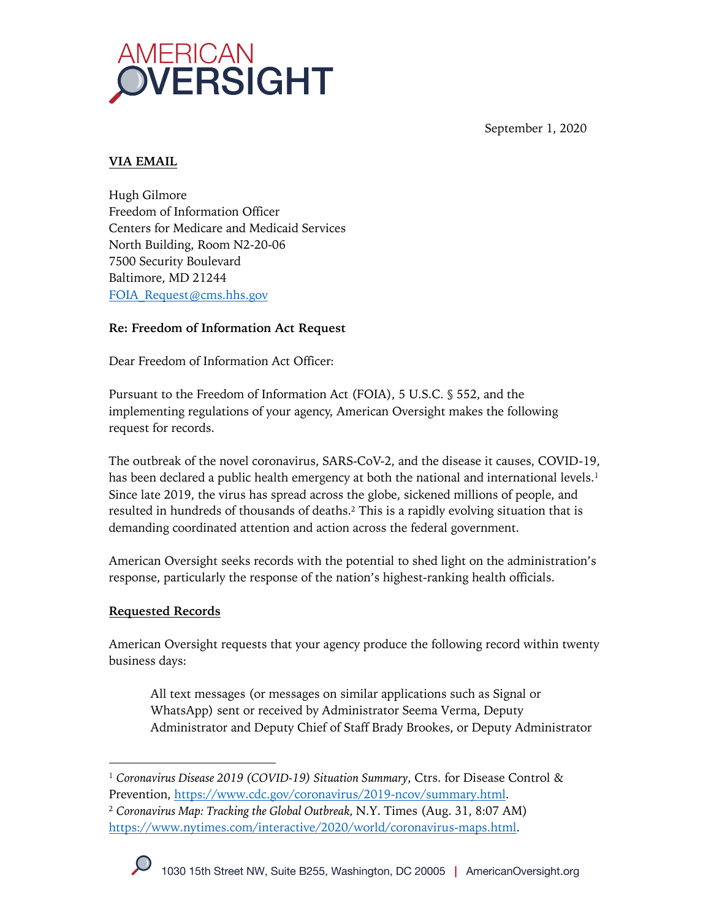

September 1, 2020

## **VIA EMAIL**

Hugh Gilmore Freedom of Information Officer Centers for Medicare and Medicaid Services North Building, Room N2-20-06 7500 Security Boulevard Baltimore, MD 21244 FOIA\_Request@cms.hhs.gov

### **Re: Freedom of Information Act Request**

Dear Freedom of Information Act Officer:

Pursuant to the Freedom of Information Act (FOIA), 5 U.S.C. § 552, and the implementing regulations of your agency, American Oversight makes the following request for records.

The outbreak of the novel coronavirus, SARS-CoV-2, and the disease it causes, COVID-19, has been declared a public health emergency at both the national and international levels.<sup>1</sup> Since late 2019, the virus has spread across the globe, sickened millions of people, and resulted in hundreds of thousands of deaths.2 This is a rapidly evolving situation that is demanding coordinated attention and action across the federal government.

American Oversight seeks records with the potential to shed light on the administration's response, particularly the response of the nation's highest-ranking health officials.

#### **Requested Records**

American Oversight requests that your agency produce the following record within twenty business days:

All text messages (or messages on similar applications such as Signal or WhatsApp) sent or received by Administrator Seema Verma, Deputy Administrator and Deputy Chief of Staff Brady Brookes, or Deputy Administrator

<sup>2</sup> *Coronavirus Map: Tracking the Global Outbreak,* N.Y. Times (Aug. 31, 8:07 AM) https://www.nytimes.com/interactive/2020/world/coronavirus-maps.html.



<sup>&</sup>lt;sup>1</sup> Coronavirus Disease 2019 (COVID-19) Situation Summary, Ctrs. for Disease Control & Prevention, https://www.cdc.gov/coronavirus/2019-ncov/summary.html.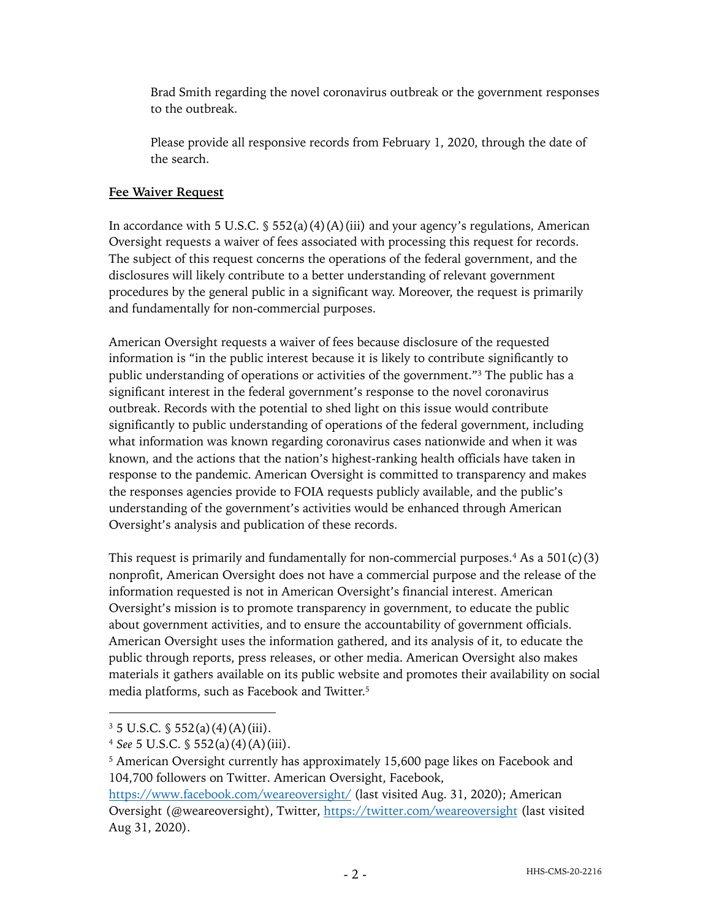Brad Smith regarding the novel coronavirus outbreak or the government responses to the outbreak.

Please provide all responsive records from February 1, 2020, through the date of the search.

# **Fee Waiver Request**

In accordance with 5 U.S.C.  $\frac{1}{5}$  552(a)(4)(A)(iii) and your agency's regulations, American Oversight requests a waiver of fees associated with processing this request for records. The subject of this request concerns the operations of the federal government, and the disclosures will likely contribute to a better understanding of relevant government procedures by the general public in a significant way. Moreover, the request is primarily and fundamentally for non-commercial purposes.

American Oversight requests a waiver of fees because disclosure of the requested information is "in the public interest because it is likely to contribute significantly to public understanding of operations or activities of the government."3 The public has a significant interest in the federal government's response to the novel coronavirus outbreak. Records with the potential to shed light on this issue would contribute significantly to public understanding of operations of the federal government, including what information was known regarding coronavirus cases nationwide and when it was known, and the actions that the nation's highest-ranking health officials have taken in response to the pandemic. American Oversight is committed to transparency and makes the responses agencies provide to FOIA requests publicly available, and the public's understanding of the government's activities would be enhanced through American Oversight's analysis and publication of these records.

This request is primarily and fundamentally for non-commercial purposes.<sup>4</sup> As a 501(c)(3) nonprofit, American Oversight does not have a commercial purpose and the release of the information requested is not in American Oversight's financial interest. American Oversight's mission is to promote transparency in government, to educate the public about government activities, and to ensure the accountability of government officials. American Oversight uses the information gathered, and its analysis of it, to educate the public through reports, press releases, or other media. American Oversight also makes materials it gathers available on its public website and promotes their availability on social media platforms, such as Facebook and Twitter.5

 $3\,5$  U.S.C. § 552(a)(4)(A)(iii).

<sup>4</sup> *See* 5 U.S.C. § 552(a)(4)(A)(iii).

<sup>&</sup>lt;sup>5</sup> American Oversight currently has approximately 15,600 page likes on Facebook and 104,700 followers on Twitter. American Oversight, Facebook,

https://www.facebook.com/weareoversight/ (last visited Aug. 31, 2020); American Oversight (@weareoversight), Twitter, https://twitter.com/weareoversight (last visited Aug 31, 2020).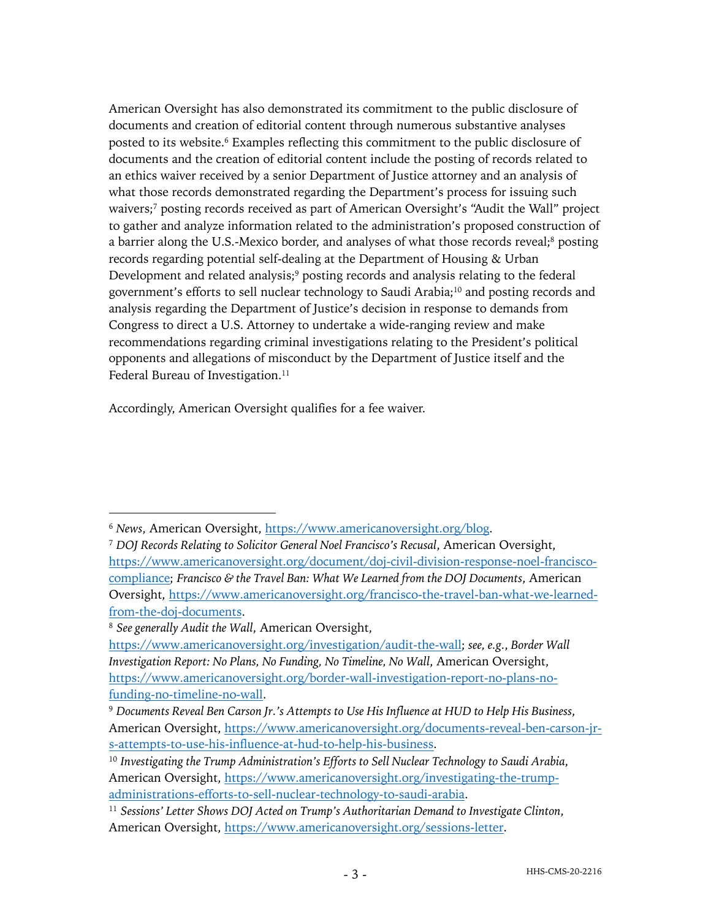American Oversight has also demonstrated its commitment to the public disclosure of documents and creation of editorial content through numerous substantive analyses posted to its website. <sup>6</sup> Examples reflecting this commitment to the public disclosure of documents and the creation of editorial content include the posting of records related to an ethics waiver received by a senior Department of Justice attorney and an analysis of what those records demonstrated regarding the Department's process for issuing such waivers;7 posting records received as part of American Oversight's "Audit the Wall" project to gather and analyze information related to the administration's proposed construction of a barrier along the U.S.-Mexico border, and analyses of what those records reveal;<sup>8</sup> posting records regarding potential self-dealing at the Department of Housing & Urban Development and related analysis;<sup>9</sup> posting records and analysis relating to the federal government's efforts to sell nuclear technology to Saudi Arabia;10 and posting records and analysis regarding the Department of Justice's decision in response to demands from Congress to direct a U.S. Attorney to undertake a wide-ranging review and make recommendations regarding criminal investigations relating to the President's political opponents and allegations of misconduct by the Department of Justice itself and the Federal Bureau of Investigation.<sup>11</sup>

Accordingly, American Oversight qualifies for a fee waiver.

<sup>6</sup> *News*, American Oversight, https://www.americanoversight.org/blog.

<sup>7</sup> *DOJ Records Relating to Solicitor General Noel Francisco's Recusal*, American Oversight, https://www.americanoversight.org/document/doj-civil-division-response-noel-franciscocompliance; *Francisco & the Travel Ban: What We Learned from the DOJ Documents*, American Oversight, https://www.americanoversight.org/francisco-the-travel-ban-what-we-learnedfrom-the-doj-documents.

<sup>8</sup> *See generally Audit the Wall*, American Oversight,

https://www.americanoversight.org/investigation/audit-the-wall; *see, e.g.*, *Border Wall Investigation Report: No Plans, No Funding, No Timeline, No Wall*, American Oversight, https://www.americanoversight.org/border-wall-investigation-report-no-plans-nofunding-no-timeline-no-wall.

<sup>9</sup> *Documents Reveal Ben Carson Jr.'s Attempts to Use His Influence at HUD to Help His Business*, American Oversight, https://www.americanoversight.org/documents-reveal-ben-carson-jrs-attempts-to-use-his-influence-at-hud-to-help-his-business.

<sup>10</sup> *Investigating the Trump Administration's Efforts to Sell Nuclear Technology to Saudi Arabia*, American Oversight, https://www.americanoversight.org/investigating-the-trumpadministrations-efforts-to-sell-nuclear-technology-to-saudi-arabia.

<sup>11</sup> *Sessions' Letter Shows DOJ Acted on Trump's Authoritarian Demand to Investigate Clinton*, American Oversight, https://www.americanoversight.org/sessions-letter.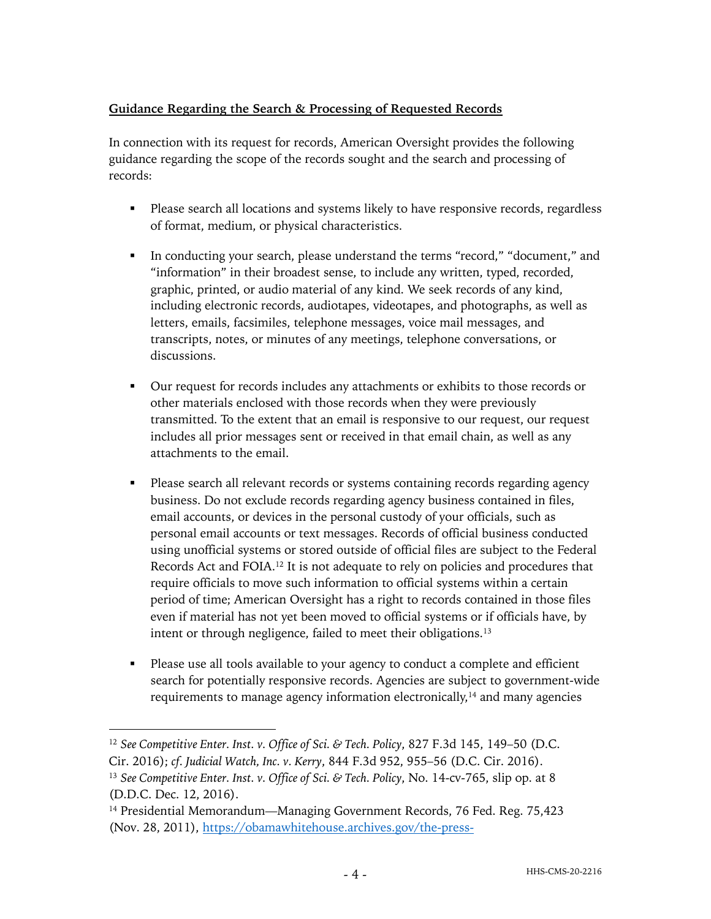# **Guidance Regarding the Search & Processing of Requested Records**

In connection with its request for records, American Oversight provides the following guidance regarding the scope of the records sought and the search and processing of records:

- Please search all locations and systems likely to have responsive records, regardless of format, medium, or physical characteristics.
- § In conducting your search, please understand the terms "record," "document," and "information" in their broadest sense, to include any written, typed, recorded, graphic, printed, or audio material of any kind. We seek records of any kind, including electronic records, audiotapes, videotapes, and photographs, as well as letters, emails, facsimiles, telephone messages, voice mail messages, and transcripts, notes, or minutes of any meetings, telephone conversations, or discussions.
- § Our request for records includes any attachments or exhibits to those records or other materials enclosed with those records when they were previously transmitted. To the extent that an email is responsive to our request, our request includes all prior messages sent or received in that email chain, as well as any attachments to the email.
- Please search all relevant records or systems containing records regarding agency business. Do not exclude records regarding agency business contained in files, email accounts, or devices in the personal custody of your officials, such as personal email accounts or text messages. Records of official business conducted using unofficial systems or stored outside of official files are subject to the Federal Records Act and FOIA.12 It is not adequate to rely on policies and procedures that require officials to move such information to official systems within a certain period of time; American Oversight has a right to records contained in those files even if material has not yet been moved to official systems or if officials have, by intent or through negligence, failed to meet their obligations.13
- Please use all tools available to your agency to conduct a complete and efficient search for potentially responsive records. Agencies are subject to government-wide requirements to manage agency information electronically,<sup>14</sup> and many agencies

<sup>12</sup> *See Competitive Enter. Inst. v. Office of Sci. & Tech. Policy*, 827 F.3d 145, 149–50 (D.C. Cir. 2016); *cf. Judicial Watch, Inc. v. Kerry*, 844 F.3d 952, 955–56 (D.C. Cir. 2016).

<sup>13</sup> *See Competitive Enter. Inst. v. Office of Sci. & Tech. Policy*, No. 14-cv-765, slip op. at 8 (D.D.C. Dec. 12, 2016).

<sup>14</sup> Presidential Memorandum—Managing Government Records, 76 Fed. Reg. 75,423 (Nov. 28, 2011), https://obamawhitehouse.archives.gov/the-press-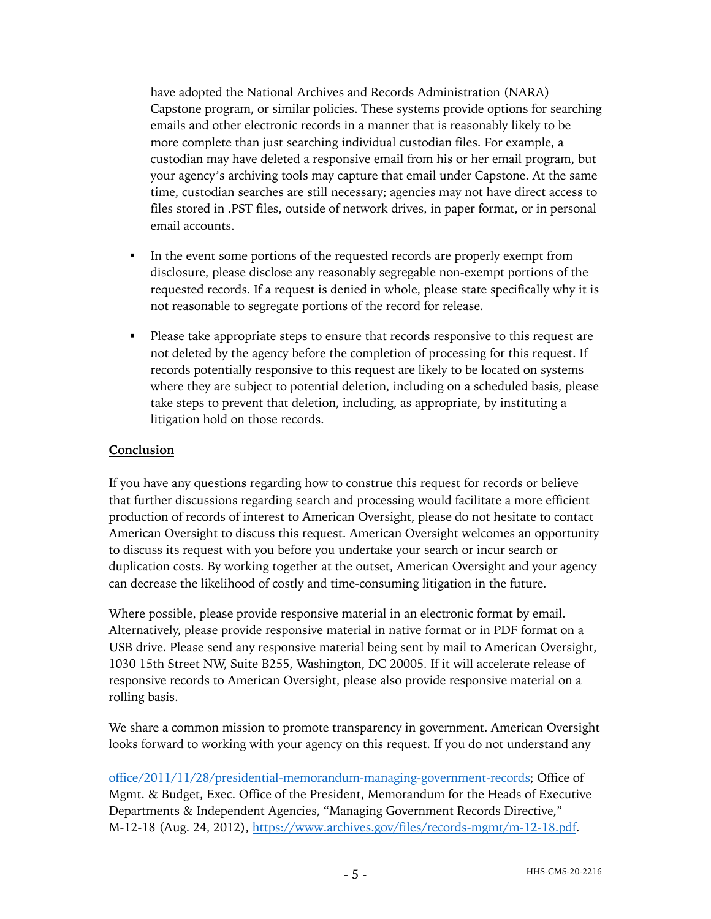have adopted the National Archives and Records Administration (NARA) Capstone program, or similar policies. These systems provide options for searching emails and other electronic records in a manner that is reasonably likely to be more complete than just searching individual custodian files. For example, a custodian may have deleted a responsive email from his or her email program, but your agency's archiving tools may capture that email under Capstone. At the same time, custodian searches are still necessary; agencies may not have direct access to files stored in .PST files, outside of network drives, in paper format, or in personal email accounts.

- In the event some portions of the requested records are properly exempt from disclosure, please disclose any reasonably segregable non-exempt portions of the requested records. If a request is denied in whole, please state specifically why it is not reasonable to segregate portions of the record for release.
- Please take appropriate steps to ensure that records responsive to this request are not deleted by the agency before the completion of processing for this request. If records potentially responsive to this request are likely to be located on systems where they are subject to potential deletion, including on a scheduled basis, please take steps to prevent that deletion, including, as appropriate, by instituting a litigation hold on those records.

### **Conclusion**

If you have any questions regarding how to construe this request for records or believe that further discussions regarding search and processing would facilitate a more efficient production of records of interest to American Oversight, please do not hesitate to contact American Oversight to discuss this request. American Oversight welcomes an opportunity to discuss its request with you before you undertake your search or incur search or duplication costs. By working together at the outset, American Oversight and your agency can decrease the likelihood of costly and time-consuming litigation in the future.

Where possible, please provide responsive material in an electronic format by email. Alternatively, please provide responsive material in native format or in PDF format on a USB drive. Please send any responsive material being sent by mail to American Oversight, 1030 15th Street NW, Suite B255, Washington, DC 20005. If it will accelerate release of responsive records to American Oversight, please also provide responsive material on a rolling basis.

We share a common mission to promote transparency in government. American Oversight looks forward to working with your agency on this request. If you do not understand any

office/2011/11/28/presidential-memorandum-managing-government-records; Office of Mgmt. & Budget, Exec. Office of the President, Memorandum for the Heads of Executive Departments & Independent Agencies, "Managing Government Records Directive," M-12-18 (Aug. 24, 2012), https://www.archives.gov/files/records-mgmt/m-12-18.pdf.